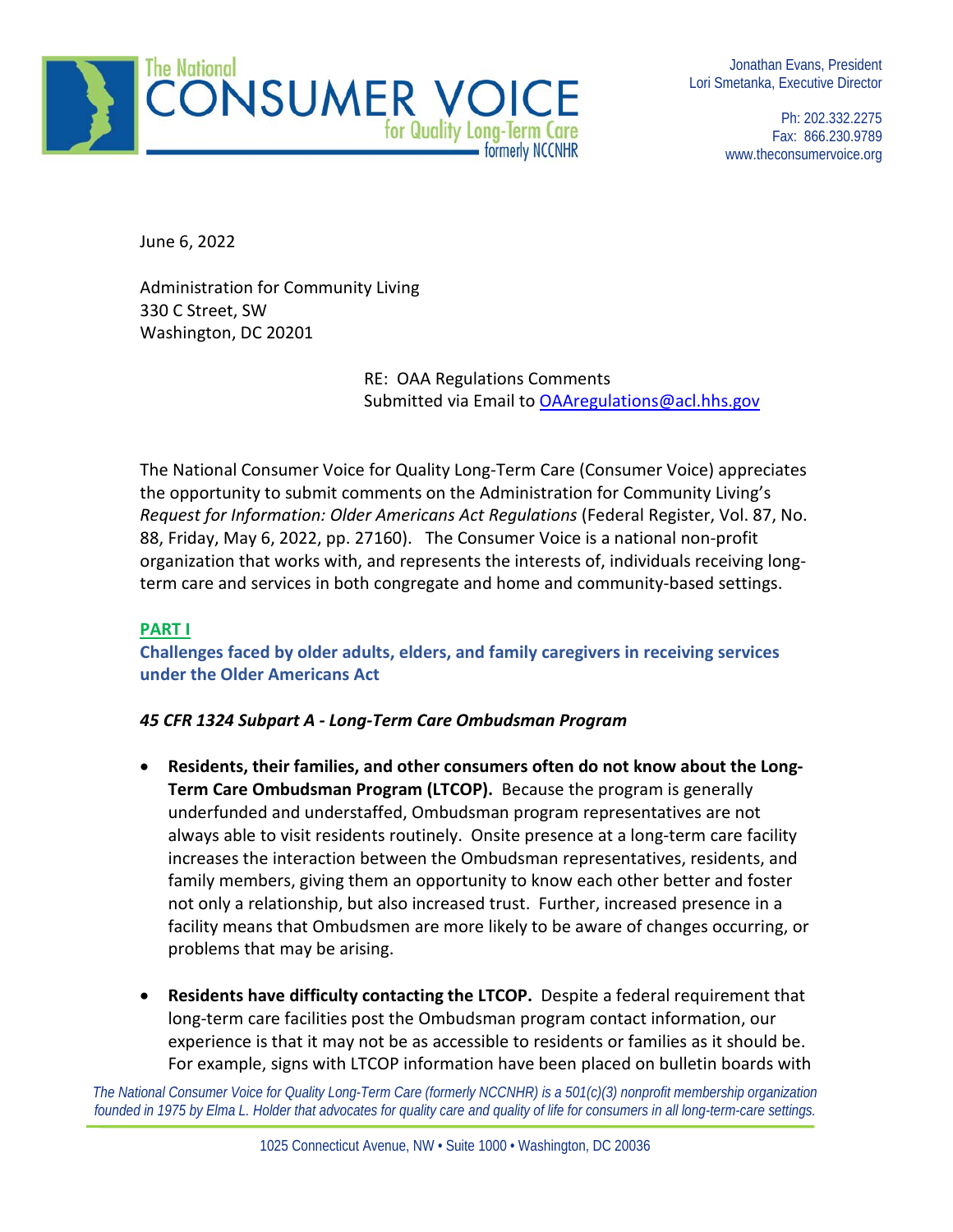

Jonathan Evans, President Lori Smetanka, Executive Director

> Ph: 202.332.2275 Fax: 866.230.9789 www.theconsumervoice.org

June 6, 2022

Administration for Community Living 330 C Street, SW Washington, DC 20201

> RE: OAA Regulations Comments Submitted via Email t[o OAAregulations@acl.hhs.gov](mailto:OAAregulations@acl.hhs.gov)

The National Consumer Voice for Quality Long-Term Care (Consumer Voice) appreciates the opportunity to submit comments on the Administration for Community Living's *Request for Information: Older Americans Act Regulations* (Federal Register, Vol. 87, No. 88, Friday, May 6, 2022, pp. 27160). The Consumer Voice is a national non-profit organization that works with, and represents the interests of, individuals receiving longterm care and services in both congregate and home and community-based settings.

## **PART I**

**Challenges faced by older adults, elders, and family caregivers in receiving services under the Older Americans Act**

#### *45 CFR 1324 Subpart A - Long-Term Care Ombudsman Program*

- **Residents, their families, and other consumers often do not know about the Long-Term Care Ombudsman Program (LTCOP).** Because the program is generally underfunded and understaffed, Ombudsman program representatives are not always able to visit residents routinely. Onsite presence at a long-term care facility increases the interaction between the Ombudsman representatives, residents, and family members, giving them an opportunity to know each other better and foster not only a relationship, but also increased trust. Further, increased presence in a facility means that Ombudsmen are more likely to be aware of changes occurring, or problems that may be arising.
- **Residents have difficulty contacting the LTCOP.** Despite a federal requirement that long-term care facilities post the Ombudsman program contact information, our experience is that it may not be as accessible to residents or families as it should be. For example, signs with LTCOP information have been placed on bulletin boards with

*The National Consumer Voice for Quality Long-Term Care (formerly NCCNHR) is a 501(c)(3) nonprofit membership organization* founded in 1975 by Elma L. Holder that advocates for quality care and quality of life for consumers in all long-term-care settings.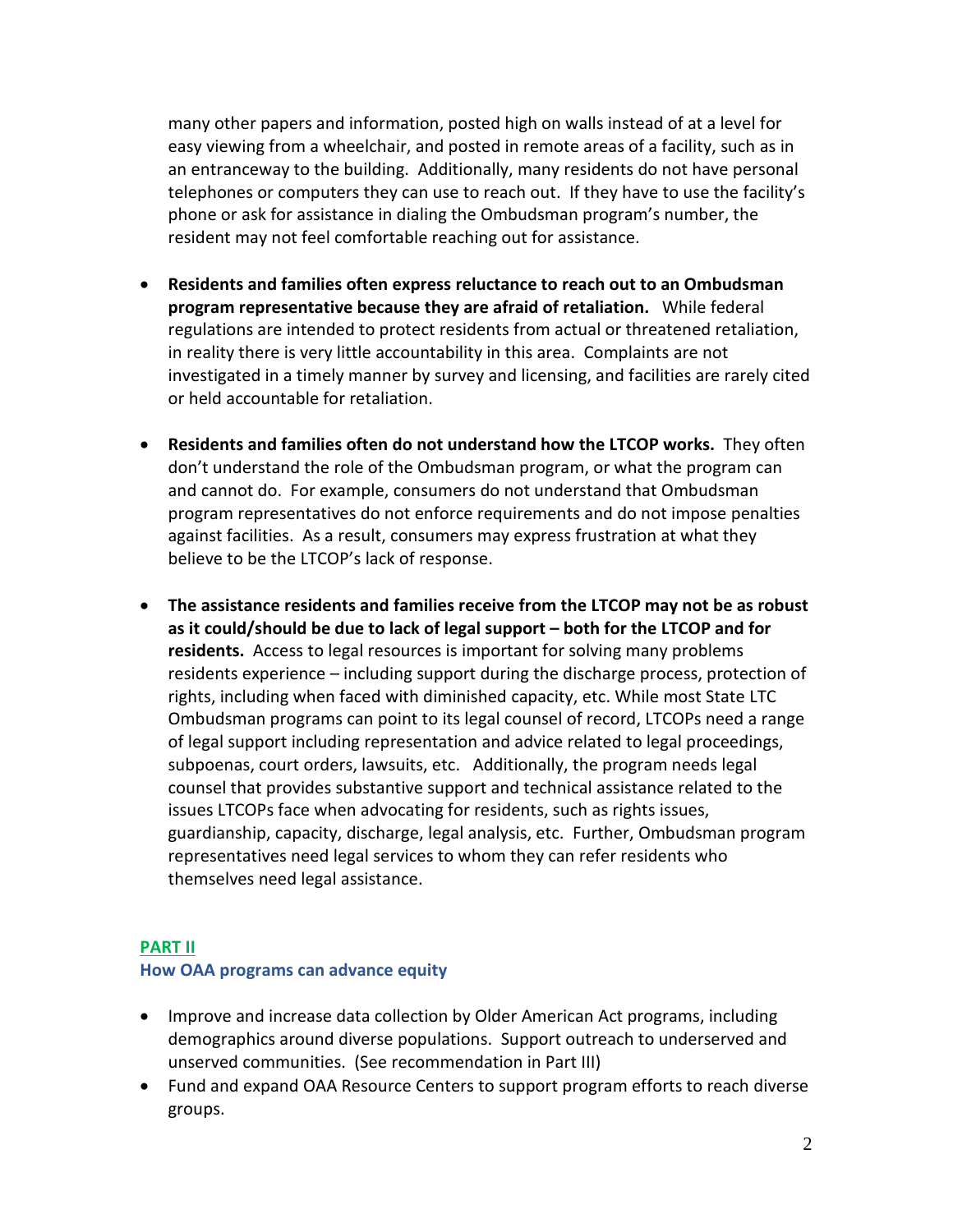many other papers and information, posted high on walls instead of at a level for easy viewing from a wheelchair, and posted in remote areas of a facility, such as in an entranceway to the building. Additionally, many residents do not have personal telephones or computers they can use to reach out. If they have to use the facility's phone or ask for assistance in dialing the Ombudsman program's number, the resident may not feel comfortable reaching out for assistance.

- **Residents and families often express reluctance to reach out to an Ombudsman program representative because they are afraid of retaliation.** While federal regulations are intended to protect residents from actual or threatened retaliation, in reality there is very little accountability in this area. Complaints are not investigated in a timely manner by survey and licensing, and facilities are rarely cited or held accountable for retaliation.
- **Residents and families often do not understand how the LTCOP works.** They often don't understand the role of the Ombudsman program, or what the program can and cannot do. For example, consumers do not understand that Ombudsman program representatives do not enforce requirements and do not impose penalties against facilities. As a result, consumers may express frustration at what they believe to be the LTCOP's lack of response.
- **The assistance residents and families receive from the LTCOP may not be as robust as it could/should be due to lack of legal support – both for the LTCOP and for residents.** Access to legal resources is important for solving many problems residents experience – including support during the discharge process, protection of rights, including when faced with diminished capacity, etc. While most State LTC Ombudsman programs can point to its legal counsel of record, LTCOPs need a range of legal support including representation and advice related to legal proceedings, subpoenas, court orders, lawsuits, etc. Additionally, the program needs legal counsel that provides substantive support and technical assistance related to the issues LTCOPs face when advocating for residents, such as rights issues, guardianship, capacity, discharge, legal analysis, etc. Further, Ombudsman program representatives need legal services to whom they can refer residents who themselves need legal assistance.

#### **PART II**

#### **How OAA programs can advance equity**

- Improve and increase data collection by Older American Act programs, including demographics around diverse populations. Support outreach to underserved and unserved communities. (See recommendation in Part III)
- Fund and expand OAA Resource Centers to support program efforts to reach diverse groups.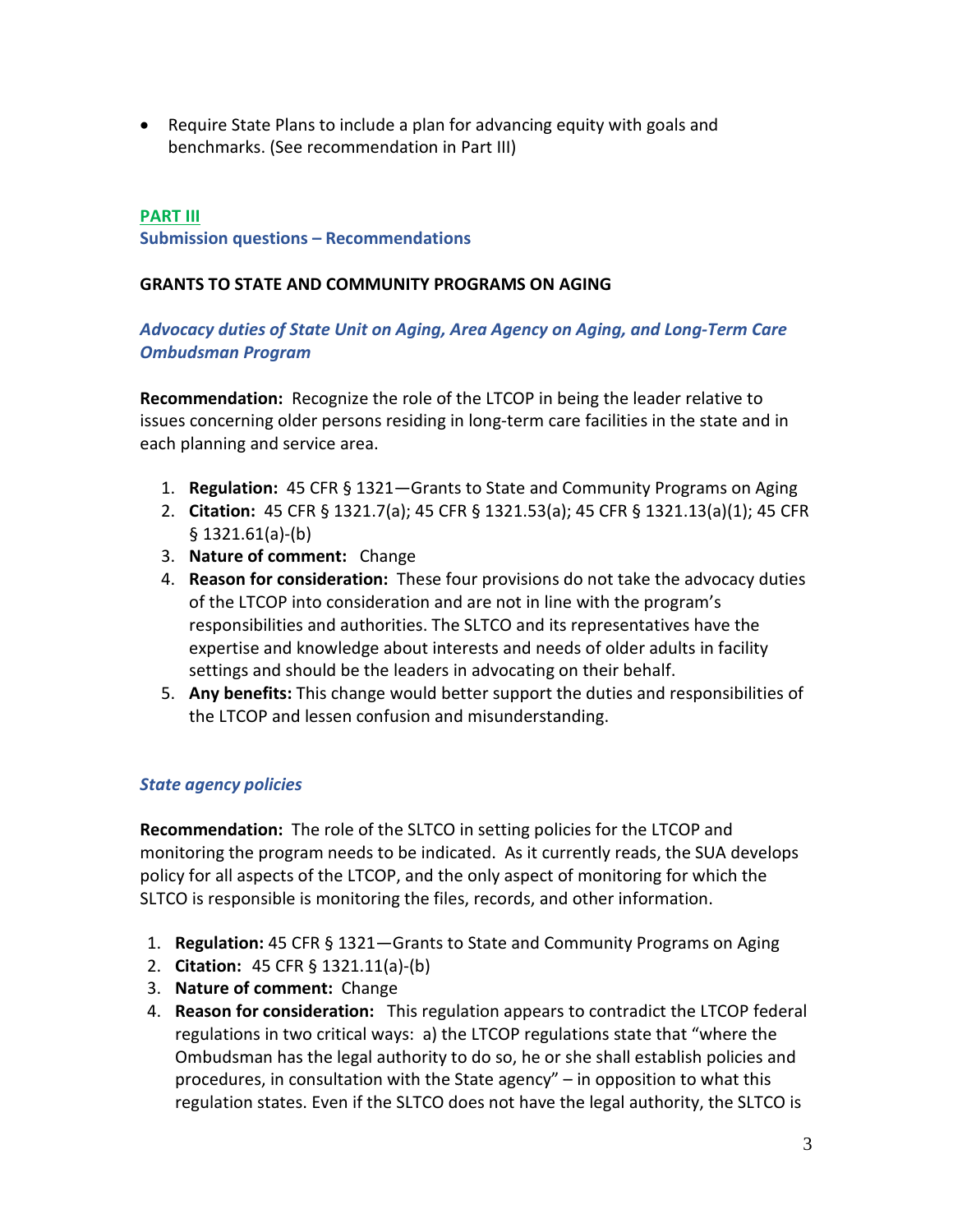• Require State Plans to include a plan for advancing equity with goals and benchmarks. (See recommendation in Part III)

# **PART III Submission questions – Recommendations**

### **GRANTS TO STATE AND COMMUNITY PROGRAMS ON AGING**

## *Advocacy duties of State Unit on Aging, Area Agency on Aging, and Long-Term Care Ombudsman Program*

**Recommendation:** Recognize the role of the LTCOP in being the leader relative to issues concerning older persons residing in long-term care facilities in the state and in each planning and service area.

- 1. **Regulation:** 45 CFR § 1321—Grants to State and Community Programs on Aging
- 2. **Citation:** 45 CFR § 1321.7(a); 45 CFR § 1321.53(a); 45 CFR § 1321.13(a)(1); 45 CFR § 1321.61(a)-(b)
- 3. **Nature of comment:** Change
- 4. **Reason for consideration:** These four provisions do not take the advocacy duties of the LTCOP into consideration and are not in line with the program's responsibilities and authorities. The SLTCO and its representatives have the expertise and knowledge about interests and needs of older adults in facility settings and should be the leaders in advocating on their behalf.
- 5. **Any benefits:** This change would better support the duties and responsibilities of the LTCOP and lessen confusion and misunderstanding.

## *State agency policies*

**Recommendation:** The role of the SLTCO in setting policies for the LTCOP and monitoring the program needs to be indicated. As it currently reads, the SUA develops policy for all aspects of the LTCOP, and the only aspect of monitoring for which the SLTCO is responsible is monitoring the files, records, and other information.

- 1. **Regulation:** 45 CFR § 1321—Grants to State and Community Programs on Aging
- 2. **Citation:** 45 CFR § 1321.11(a)-(b)
- 3. **Nature of comment:** Change
- 4. **Reason for consideration:** This regulation appears to contradict the LTCOP federal regulations in two critical ways: a) the LTCOP regulations state that "where the Ombudsman has the legal authority to do so, he or she shall establish policies and procedures, in consultation with the State agency" – in opposition to what this regulation states. Even if the SLTCO does not have the legal authority, the SLTCO is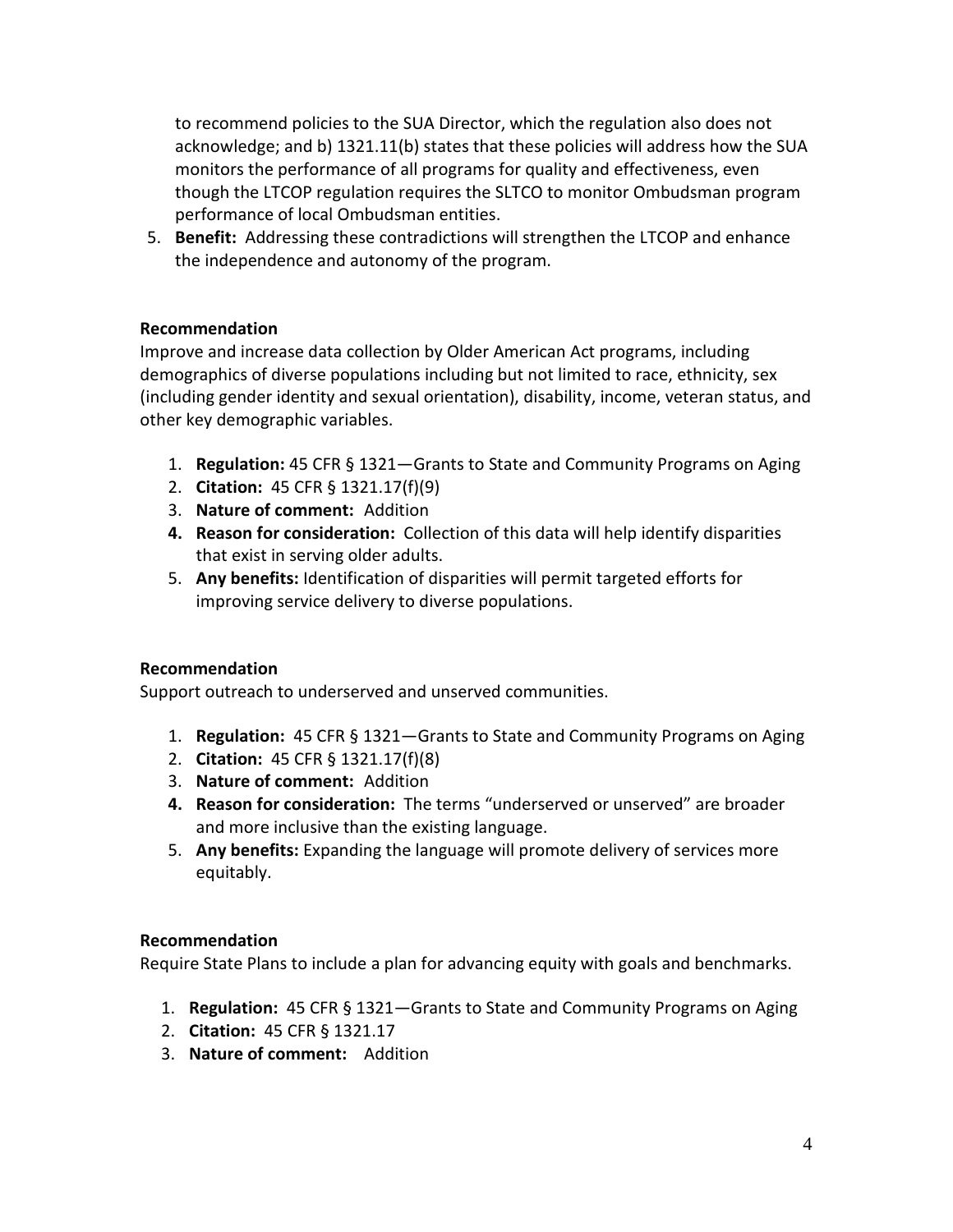to recommend policies to the SUA Director, which the regulation also does not acknowledge; and b) 1321.11(b) states that these policies will address how the SUA monitors the performance of all programs for quality and effectiveness, even though the LTCOP regulation requires the SLTCO to monitor Ombudsman program performance of local Ombudsman entities.

5. **Benefit:** Addressing these contradictions will strengthen the LTCOP and enhance the independence and autonomy of the program.

## **Recommendation**

Improve and increase data collection by Older American Act programs, including demographics of diverse populations including but not limited to race, ethnicity, sex (including gender identity and sexual orientation), disability, income, veteran status, and other key demographic variables.

- 1. **Regulation:** 45 CFR § 1321—Grants to State and Community Programs on Aging
- 2. **Citation:** 45 CFR § 1321.17(f)(9)
- 3. **Nature of comment:** Addition
- **4. Reason for consideration:** Collection of this data will help identify disparities that exist in serving older adults.
- 5. **Any benefits:** Identification of disparities will permit targeted efforts for improving service delivery to diverse populations.

#### **Recommendation**

Support outreach to underserved and unserved communities.

- 1. **Regulation:** 45 CFR § 1321—Grants to State and Community Programs on Aging
- 2. **Citation:** 45 CFR § 1321.17(f)(8)
- 3. **Nature of comment:** Addition
- **4. Reason for consideration:** The terms "underserved or unserved" are broader and more inclusive than the existing language.
- 5. **Any benefits:** Expanding the language will promote delivery of services more equitably.

#### **Recommendation**

Require State Plans to include a plan for advancing equity with goals and benchmarks.

- 1. **Regulation:** 45 CFR § 1321—Grants to State and Community Programs on Aging
- 2. **Citation:** 45 CFR § 1321.17
- 3. **Nature of comment:** Addition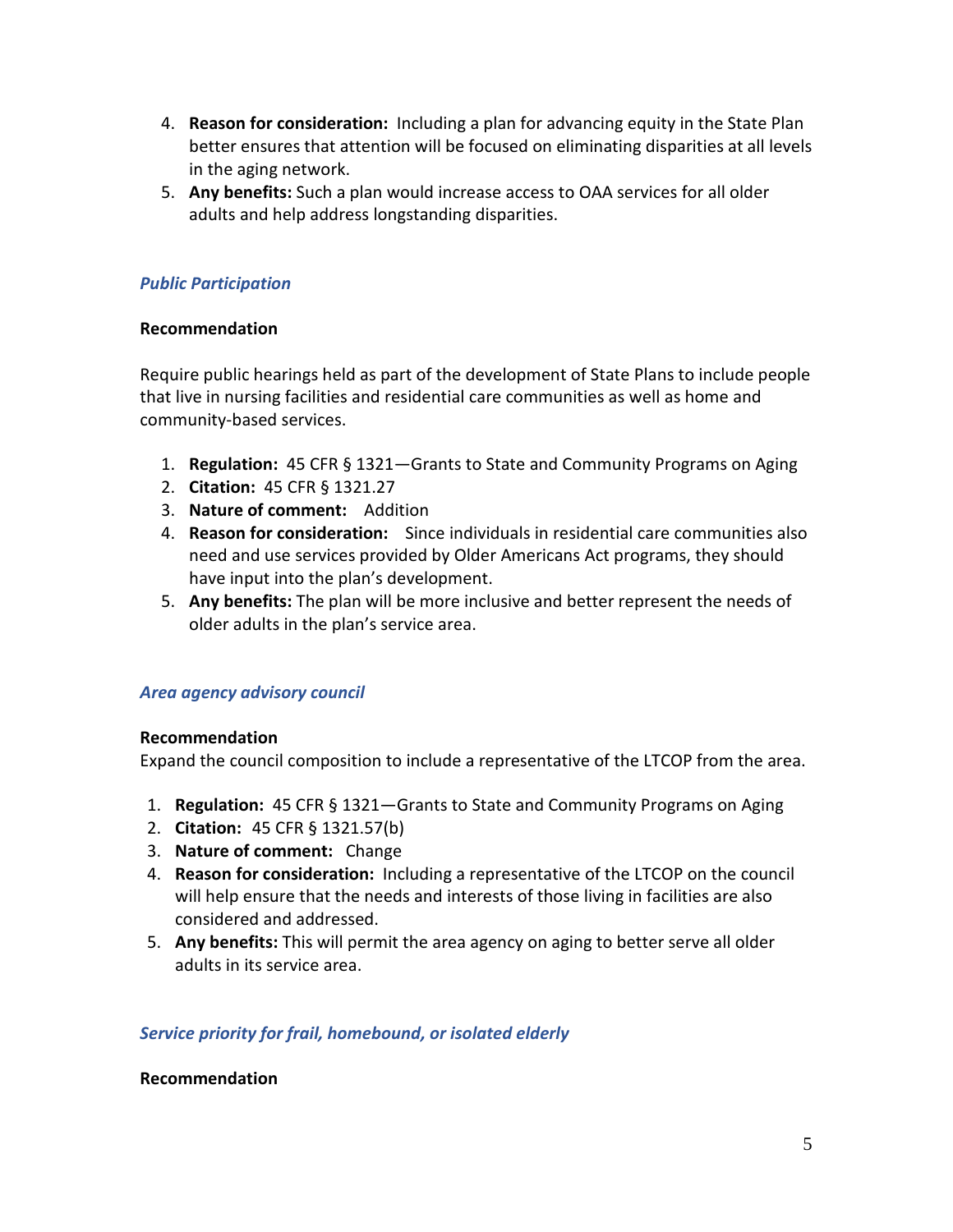- 4. **Reason for consideration:** Including a plan for advancing equity in the State Plan better ensures that attention will be focused on eliminating disparities at all levels in the aging network.
- 5. **Any benefits:** Such a plan would increase access to OAA services for all older adults and help address longstanding disparities.

### *Public Participation*

#### **Recommendation**

Require public hearings held as part of the development of State Plans to include people that live in nursing facilities and residential care communities as well as home and community-based services.

- 1. **Regulation:** 45 CFR § 1321—Grants to State and Community Programs on Aging
- 2. **Citation:** 45 CFR § 1321.27
- 3. **Nature of comment:** Addition
- 4. **Reason for consideration:** Since individuals in residential care communities also need and use services provided by Older Americans Act programs, they should have input into the plan's development.
- 5. **Any benefits:** The plan will be more inclusive and better represent the needs of older adults in the plan's service area.

#### *Area agency advisory council*

#### **Recommendation**

Expand the council composition to include a representative of the LTCOP from the area.

- 1. **Regulation:** 45 CFR § 1321—Grants to State and Community Programs on Aging
- 2. **Citation:** 45 CFR § 1321.57(b)
- 3. **Nature of comment:** Change
- 4. **Reason for consideration:** Including a representative of the LTCOP on the council will help ensure that the needs and interests of those living in facilities are also considered and addressed.
- 5. **Any benefits:** This will permit the area agency on aging to better serve all older adults in its service area.

#### *Service priority for frail, homebound, or isolated elderly*

#### **Recommendation**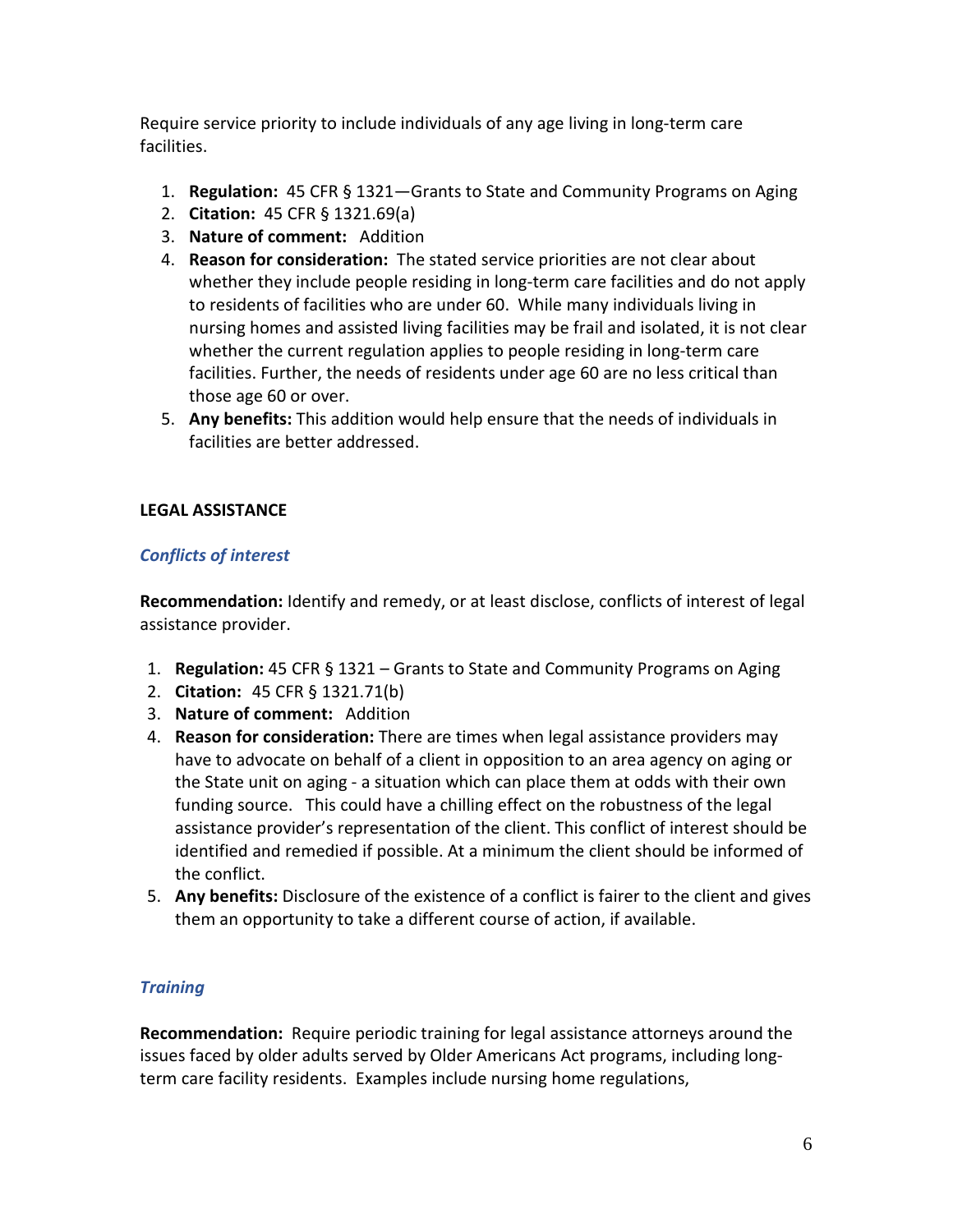Require service priority to include individuals of any age living in long-term care facilities.

- 1. **Regulation:** 45 CFR § 1321—Grants to State and Community Programs on Aging
- 2. **Citation:** 45 CFR § 1321.69(a)
- 3. **Nature of comment:** Addition
- 4. **Reason for consideration:** The stated service priorities are not clear about whether they include people residing in long-term care facilities and do not apply to residents of facilities who are under 60. While many individuals living in nursing homes and assisted living facilities may be frail and isolated, it is not clear whether the current regulation applies to people residing in long-term care facilities. Further, the needs of residents under age 60 are no less critical than those age 60 or over.
- 5. **Any benefits:** This addition would help ensure that the needs of individuals in facilities are better addressed.

## **LEGAL ASSISTANCE**

## *Conflicts of interest*

**Recommendation:** Identify and remedy, or at least disclose, conflicts of interest of legal assistance provider.

- 1. **Regulation:** 45 CFR § 1321 Grants to State and Community Programs on Aging
- 2. **Citation:** 45 CFR § 1321.71(b)
- 3. **Nature of comment:** Addition
- 4. **Reason for consideration:** There are times when legal assistance providers may have to advocate on behalf of a client in opposition to an area agency on aging or the State unit on aging - a situation which can place them at odds with their own funding source. This could have a chilling effect on the robustness of the legal assistance provider's representation of the client. This conflict of interest should be identified and remedied if possible. At a minimum the client should be informed of the conflict.
- 5. **Any benefits:** Disclosure of the existence of a conflict is fairer to the client and gives them an opportunity to take a different course of action, if available.

## *Training*

**Recommendation:** Require periodic training for legal assistance attorneys around the issues faced by older adults served by Older Americans Act programs, including longterm care facility residents. Examples include nursing home regulations,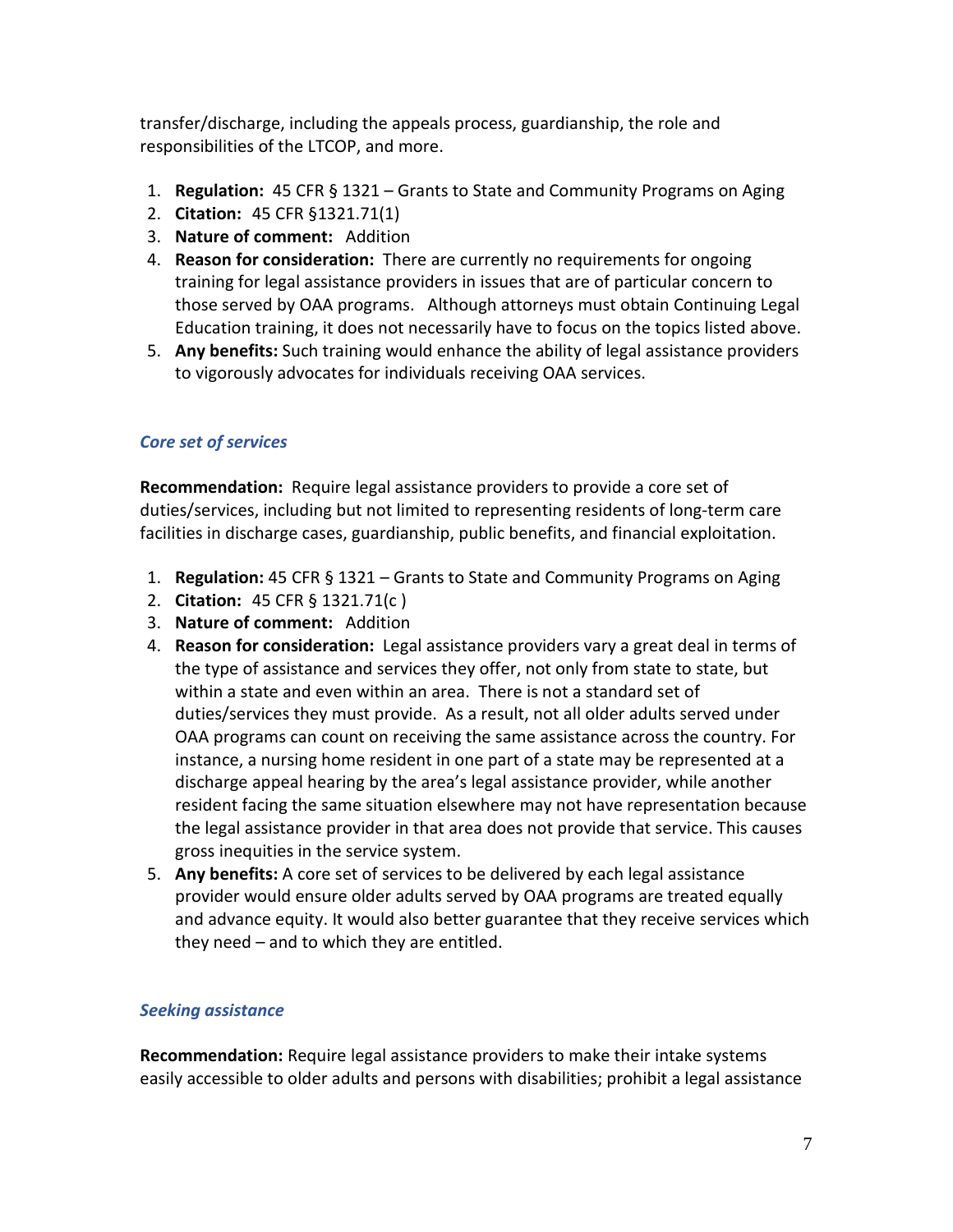transfer/discharge, including the appeals process, guardianship, the role and responsibilities of the LTCOP, and more.

- 1. **Regulation:** 45 CFR § 1321 Grants to State and Community Programs on Aging
- 2. **Citation:** 45 CFR §1321.71(1)
- 3. **Nature of comment:** Addition
- 4. **Reason for consideration:** There are currently no requirements for ongoing training for legal assistance providers in issues that are of particular concern to those served by OAA programs. Although attorneys must obtain Continuing Legal Education training, it does not necessarily have to focus on the topics listed above.
- 5. **Any benefits:** Such training would enhance the ability of legal assistance providers to vigorously advocates for individuals receiving OAA services.

# *Core set of services*

**Recommendation:** Require legal assistance providers to provide a core set of duties/services, including but not limited to representing residents of long-term care facilities in discharge cases, guardianship, public benefits, and financial exploitation.

- 1. **Regulation:** 45 CFR § 1321 Grants to State and Community Programs on Aging
- 2. **Citation:** 45 CFR § 1321.71(c )
- 3. **Nature of comment:** Addition
- 4. **Reason for consideration:** Legal assistance providers vary a great deal in terms of the type of assistance and services they offer, not only from state to state, but within a state and even within an area. There is not a standard set of duties/services they must provide. As a result, not all older adults served under OAA programs can count on receiving the same assistance across the country. For instance, a nursing home resident in one part of a state may be represented at a discharge appeal hearing by the area's legal assistance provider, while another resident facing the same situation elsewhere may not have representation because the legal assistance provider in that area does not provide that service. This causes gross inequities in the service system.
- 5. **Any benefits:** A core set of services to be delivered by each legal assistance provider would ensure older adults served by OAA programs are treated equally and advance equity. It would also better guarantee that they receive services which they need – and to which they are entitled.

## *Seeking assistance*

**Recommendation:** Require legal assistance providers to make their intake systems easily accessible to older adults and persons with disabilities; prohibit a legal assistance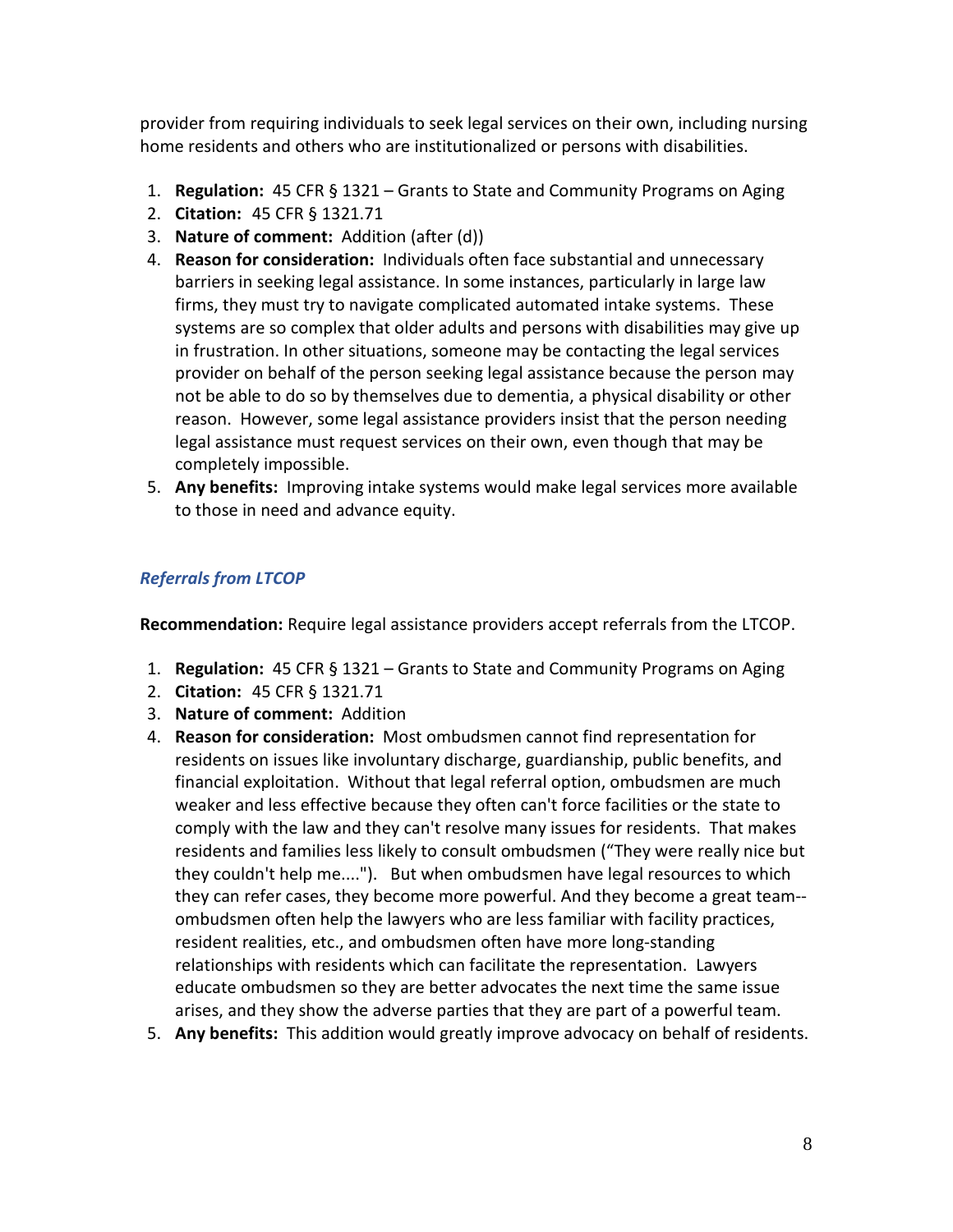provider from requiring individuals to seek legal services on their own, including nursing home residents and others who are institutionalized or persons with disabilities.

- 1. **Regulation:** 45 CFR § 1321 Grants to State and Community Programs on Aging
- 2. **Citation:** 45 CFR § 1321.71
- 3. **Nature of comment:** Addition (after (d))
- 4. **Reason for consideration:** Individuals often face substantial and unnecessary barriers in seeking legal assistance. In some instances, particularly in large law firms, they must try to navigate complicated automated intake systems. These systems are so complex that older adults and persons with disabilities may give up in frustration. In other situations, someone may be contacting the legal services provider on behalf of the person seeking legal assistance because the person may not be able to do so by themselves due to dementia, a physical disability or other reason. However, some legal assistance providers insist that the person needing legal assistance must request services on their own, even though that may be completely impossible.
- 5. **Any benefits:** Improving intake systems would make legal services more available to those in need and advance equity.

# *Referrals from LTCOP*

**Recommendation:** Require legal assistance providers accept referrals from the LTCOP.

- 1. **Regulation:** 45 CFR § 1321 Grants to State and Community Programs on Aging
- 2. **Citation:** 45 CFR § 1321.71
- 3. **Nature of comment:** Addition
- 4. **Reason for consideration:** Most ombudsmen cannot find representation for residents on issues like involuntary discharge, guardianship, public benefits, and financial exploitation. Without that legal referral option, ombudsmen are much weaker and less effective because they often can't force facilities or the state to comply with the law and they can't resolve many issues for residents. That makes residents and families less likely to consult ombudsmen ("They were really nice but they couldn't help me...."). But when ombudsmen have legal resources to which they can refer cases, they become more powerful. And they become a great team- ombudsmen often help the lawyers who are less familiar with facility practices, resident realities, etc., and ombudsmen often have more long-standing relationships with residents which can facilitate the representation. Lawyers educate ombudsmen so they are better advocates the next time the same issue arises, and they show the adverse parties that they are part of a powerful team.
- 5. **Any benefits:** This addition would greatly improve advocacy on behalf of residents.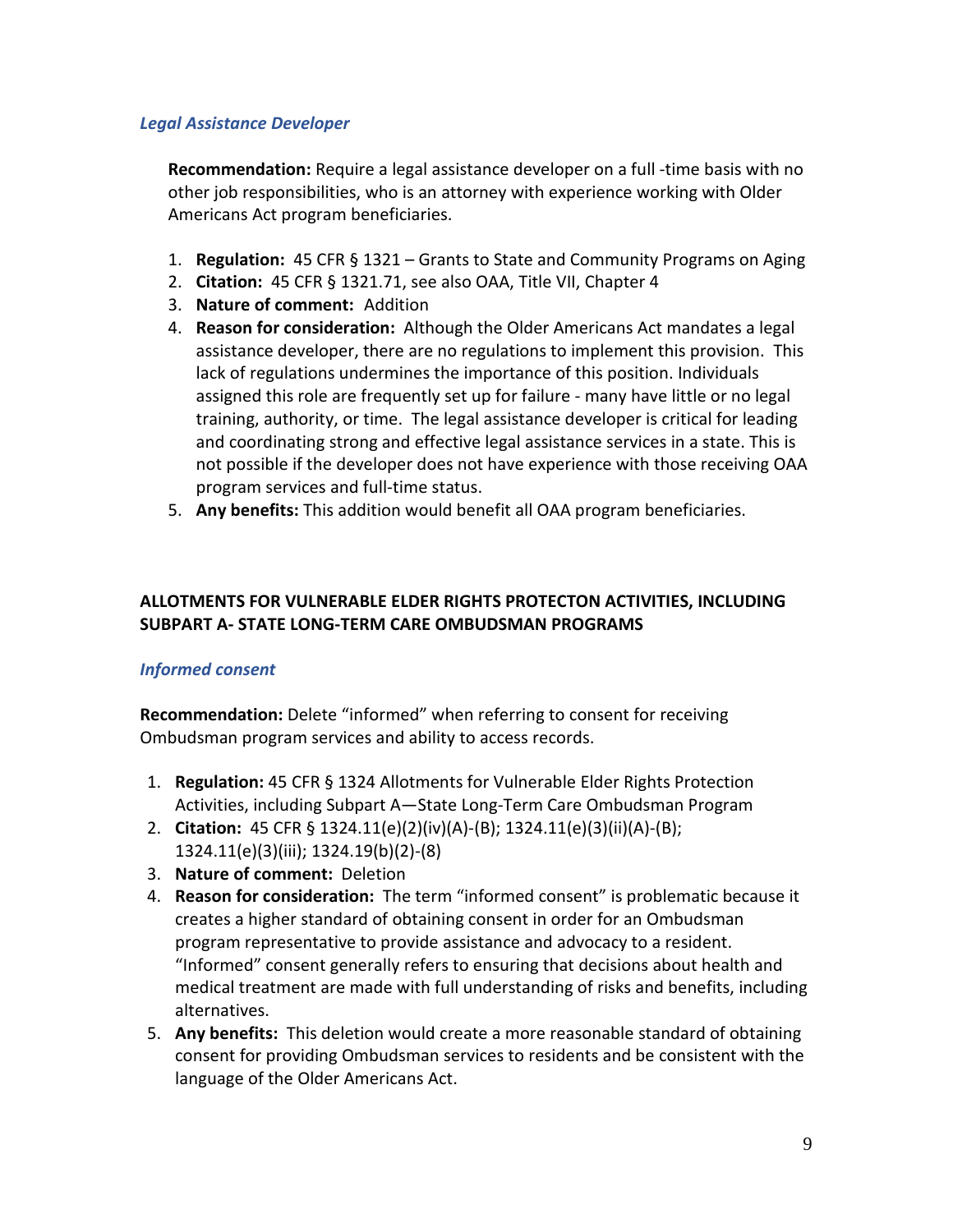#### *Legal Assistance Developer*

**Recommendation:** Require a legal assistance developer on a full -time basis with no other job responsibilities, who is an attorney with experience working with Older Americans Act program beneficiaries.

- 1. **Regulation:** 45 CFR § 1321 Grants to State and Community Programs on Aging
- 2. **Citation:** 45 CFR § 1321.71, see also OAA, Title VII, Chapter 4
- 3. **Nature of comment:** Addition
- 4. **Reason for consideration:** Although the Older Americans Act mandates a legal assistance developer, there are no regulations to implement this provision. This lack of regulations undermines the importance of this position. Individuals assigned this role are frequently set up for failure - many have little or no legal training, authority, or time. The legal assistance developer is critical for leading and coordinating strong and effective legal assistance services in a state. This is not possible if the developer does not have experience with those receiving OAA program services and full-time status.
- 5. **Any benefits:** This addition would benefit all OAA program beneficiaries.

## **ALLOTMENTS FOR VULNERABLE ELDER RIGHTS PROTECTON ACTIVITIES, INCLUDING SUBPART A- STATE LONG-TERM CARE OMBUDSMAN PROGRAMS**

#### *Informed consent*

**Recommendation:** Delete "informed" when referring to consent for receiving Ombudsman program services and ability to access records.

- 1. **Regulation:** 45 CFR § 1324 Allotments for Vulnerable Elder Rights Protection Activities, including Subpart A—State Long-Term Care Ombudsman Program
- 2. **Citation:** 45 CFR § 1324.11(e)(2)(iv)(A)-(B); 1324.11(e)(3)(ii)(A)-(B); 1324.11(e)(3)(iii); 1324.19(b)(2)-(8)
- 3. **Nature of comment:** Deletion
- 4. **Reason for consideration:** The term "informed consent" is problematic because it creates a higher standard of obtaining consent in order for an Ombudsman program representative to provide assistance and advocacy to a resident. "Informed" consent generally refers to ensuring that decisions about health and medical treatment are made with full understanding of risks and benefits, including alternatives.
- 5. **Any benefits:** This deletion would create a more reasonable standard of obtaining consent for providing Ombudsman services to residents and be consistent with the language of the Older Americans Act.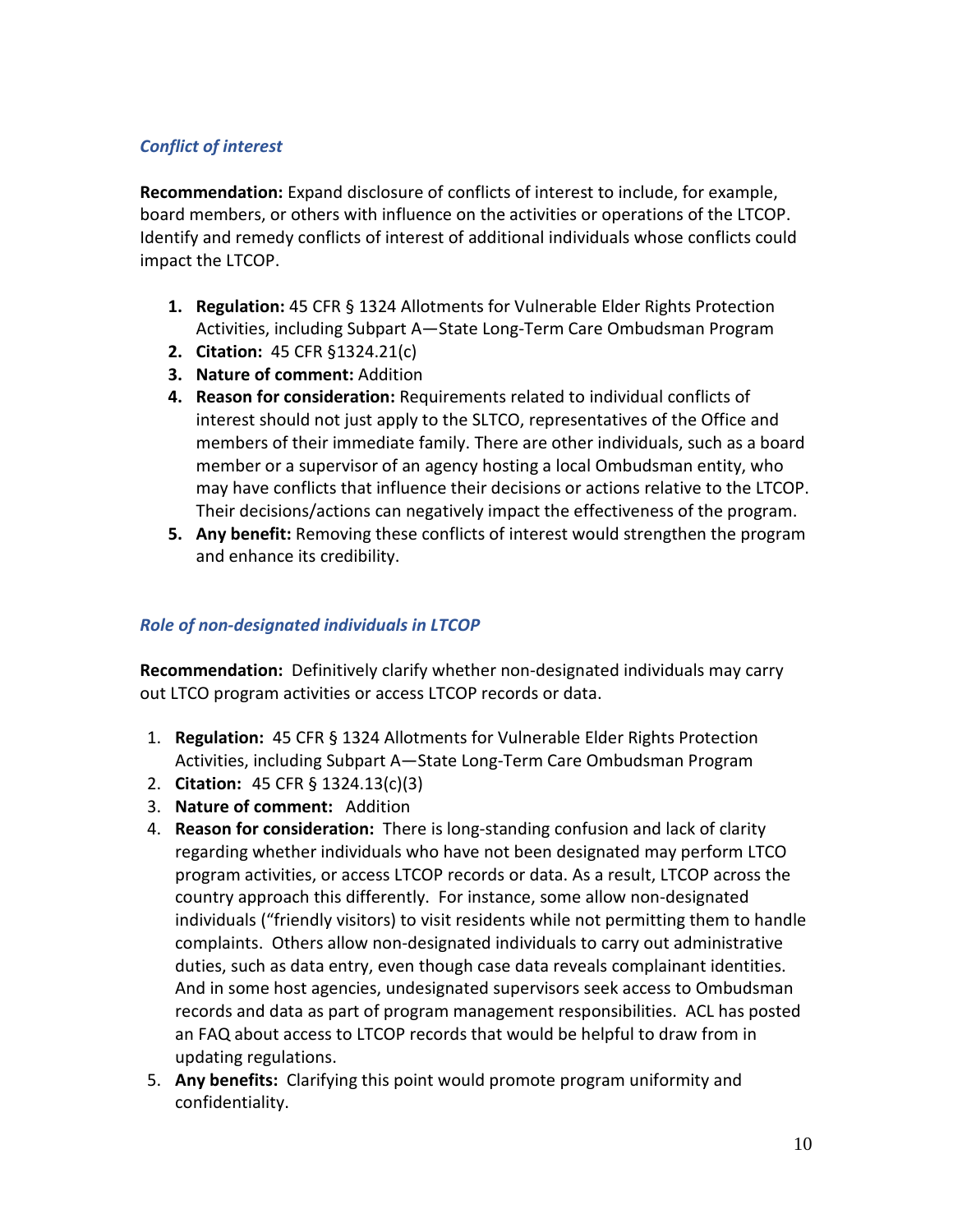# *Conflict of interest*

**Recommendation:** Expand disclosure of conflicts of interest to include, for example, board members, or others with influence on the activities or operations of the LTCOP. Identify and remedy conflicts of interest of additional individuals whose conflicts could impact the LTCOP.

- **1. Regulation:** 45 CFR § 1324 Allotments for Vulnerable Elder Rights Protection Activities, including Subpart A—State Long-Term Care Ombudsman Program
- **2. Citation:** 45 CFR §1324.21(c)
- **3. Nature of comment:** Addition
- **4. Reason for consideration:** Requirements related to individual conflicts of interest should not just apply to the SLTCO, representatives of the Office and members of their immediate family. There are other individuals, such as a board member or a supervisor of an agency hosting a local Ombudsman entity, who may have conflicts that influence their decisions or actions relative to the LTCOP. Their decisions/actions can negatively impact the effectiveness of the program.
- **5. Any benefit:** Removing these conflicts of interest would strengthen the program and enhance its credibility.

### *Role of non-designated individuals in LTCOP*

**Recommendation:** Definitively clarify whether non-designated individuals may carry out LTCO program activities or access LTCOP records or data.

- 1. **Regulation:** 45 CFR § 1324 Allotments for Vulnerable Elder Rights Protection Activities, including Subpart A—State Long-Term Care Ombudsman Program
- 2. **Citation:** 45 CFR § 1324.13(c)(3)
- 3. **Nature of comment:** Addition
- 4. **Reason for consideration:** There is long-standing confusion and lack of clarity regarding whether individuals who have not been designated may perform LTCO program activities, or access LTCOP records or data. As a result, LTCOP across the country approach this differently. For instance, some allow non-designated individuals ("friendly visitors) to visit residents while not permitting them to handle complaints. Others allow non-designated individuals to carry out administrative duties, such as data entry, even though case data reveals complainant identities. And in some host agencies, undesignated supervisors seek access to Ombudsman records and data as part of program management responsibilities. ACL has posted an FAQ about access to LTCOP records that would be helpful to draw from in updating regulations.
- 5. **Any benefits:** Clarifying this point would promote program uniformity and confidentiality.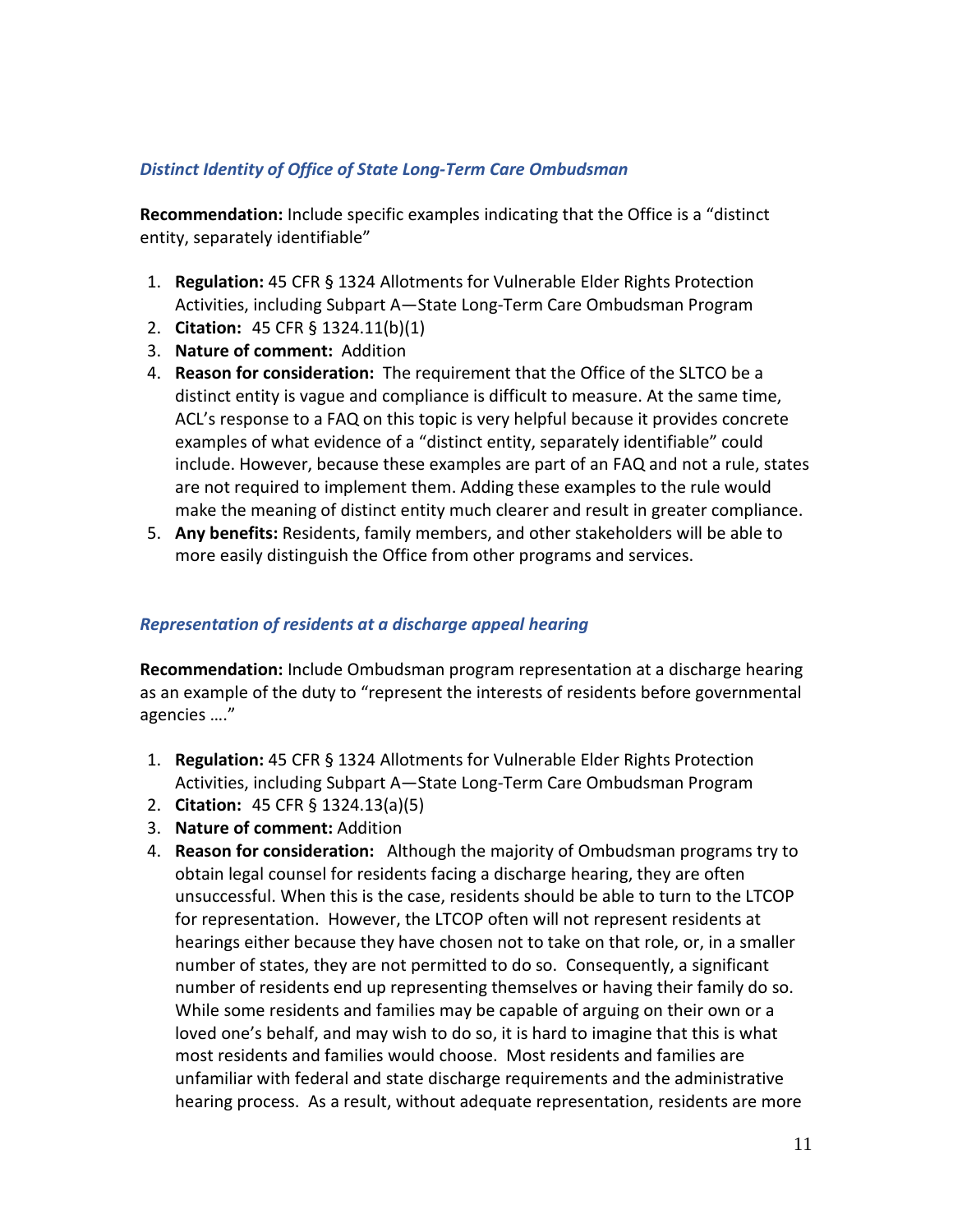#### *Distinct Identity of Office of State Long-Term Care Ombudsman*

**Recommendation:** Include specific examples indicating that the Office is a "distinct entity, separately identifiable"

- 1. **Regulation:** 45 CFR § 1324 Allotments for Vulnerable Elder Rights Protection Activities, including Subpart A—State Long-Term Care Ombudsman Program
- 2. **Citation:** 45 CFR § 1324.11(b)(1)
- 3. **Nature of comment:** Addition
- 4. **Reason for consideration:** The requirement that the Office of the SLTCO be a distinct entity is vague and compliance is difficult to measure. At the same time, ACL's response to a FAQ on this topic is very helpful because it provides concrete examples of what evidence of a "distinct entity, separately identifiable" could include. However, because these examples are part of an FAQ and not a rule, states are not required to implement them. Adding these examples to the rule would make the meaning of distinct entity much clearer and result in greater compliance.
- 5. **Any benefits:** Residents, family members, and other stakeholders will be able to more easily distinguish the Office from other programs and services.

#### *Representation of residents at a discharge appeal hearing*

**Recommendation:** Include Ombudsman program representation at a discharge hearing as an example of the duty to "represent the interests of residents before governmental agencies …."

- 1. **Regulation:** 45 CFR § 1324 Allotments for Vulnerable Elder Rights Protection Activities, including Subpart A—State Long-Term Care Ombudsman Program
- 2. **Citation:** 45 CFR § 1324.13(a)(5)
- 3. **Nature of comment:** Addition
- 4. **Reason for consideration:** Although the majority of Ombudsman programs try to obtain legal counsel for residents facing a discharge hearing, they are often unsuccessful. When this is the case, residents should be able to turn to the LTCOP for representation. However, the LTCOP often will not represent residents at hearings either because they have chosen not to take on that role, or, in a smaller number of states, they are not permitted to do so. Consequently, a significant number of residents end up representing themselves or having their family do so. While some residents and families may be capable of arguing on their own or a loved one's behalf, and may wish to do so, it is hard to imagine that this is what most residents and families would choose. Most residents and families are unfamiliar with federal and state discharge requirements and the administrative hearing process. As a result, without adequate representation, residents are more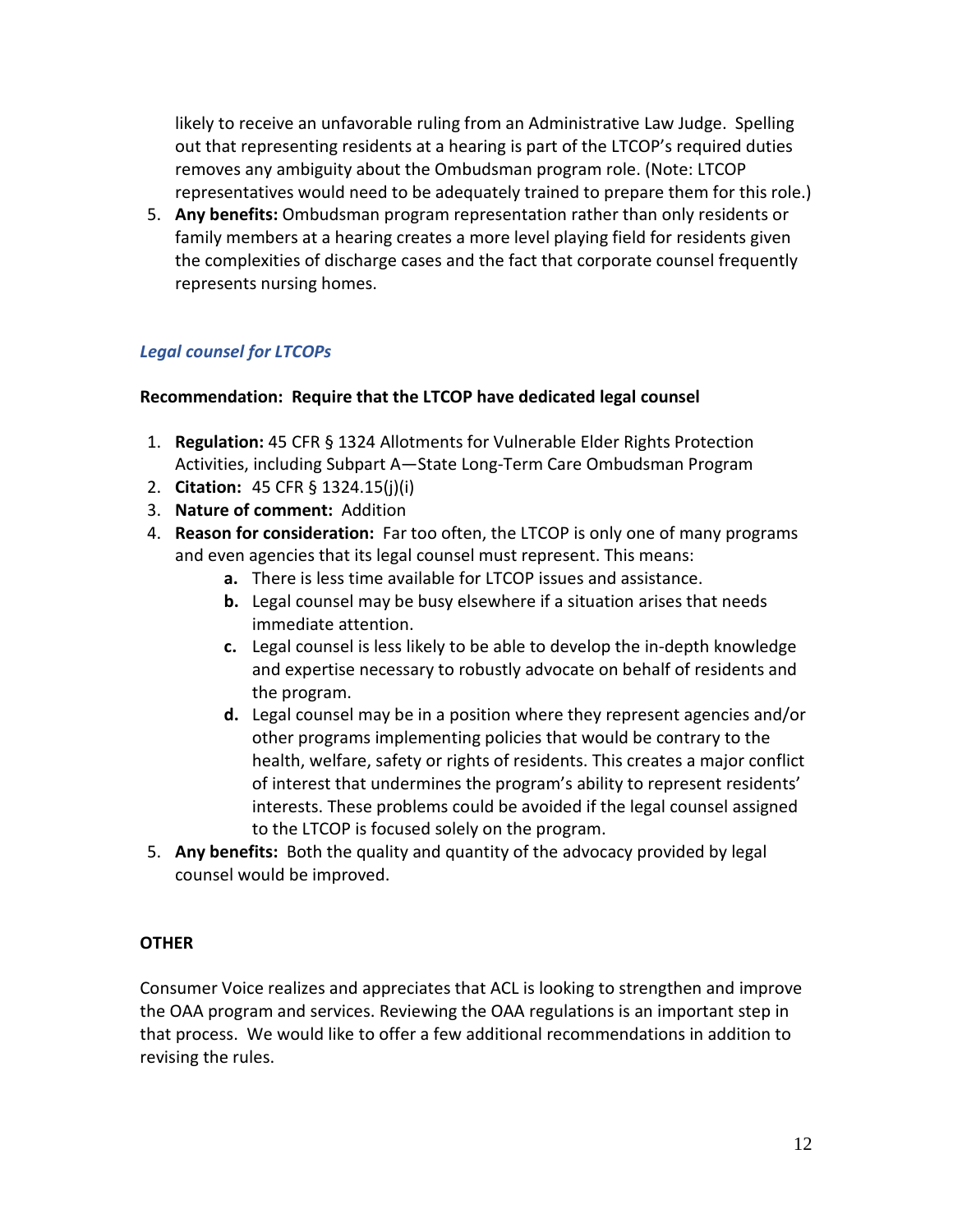likely to receive an unfavorable ruling from an Administrative Law Judge. Spelling out that representing residents at a hearing is part of the LTCOP's required duties removes any ambiguity about the Ombudsman program role. (Note: LTCOP representatives would need to be adequately trained to prepare them for this role.)

5. **Any benefits:** Ombudsman program representation rather than only residents or family members at a hearing creates a more level playing field for residents given the complexities of discharge cases and the fact that corporate counsel frequently represents nursing homes.

# *Legal counsel for LTCOPs*

#### **Recommendation: Require that the LTCOP have dedicated legal counsel**

- 1. **Regulation:** 45 CFR § 1324 Allotments for Vulnerable Elder Rights Protection Activities, including Subpart A—State Long-Term Care Ombudsman Program
- 2. **Citation:** 45 CFR § 1324.15(j)(i)
- 3. **Nature of comment:** Addition
- 4. **Reason for consideration:** Far too often, the LTCOP is only one of many programs and even agencies that its legal counsel must represent. This means:
	- **a.** There is less time available for LTCOP issues and assistance.
	- **b.** Legal counsel may be busy elsewhere if a situation arises that needs immediate attention.
	- **c.** Legal counsel is less likely to be able to develop the in-depth knowledge and expertise necessary to robustly advocate on behalf of residents and the program.
	- **d.** Legal counsel may be in a position where they represent agencies and/or other programs implementing policies that would be contrary to the health, welfare, safety or rights of residents. This creates a major conflict of interest that undermines the program's ability to represent residents' interests. These problems could be avoided if the legal counsel assigned to the LTCOP is focused solely on the program.
- 5. **Any benefits:** Both the quality and quantity of the advocacy provided by legal counsel would be improved.

## **OTHER**

Consumer Voice realizes and appreciates that ACL is looking to strengthen and improve the OAA program and services. Reviewing the OAA regulations is an important step in that process. We would like to offer a few additional recommendations in addition to revising the rules.